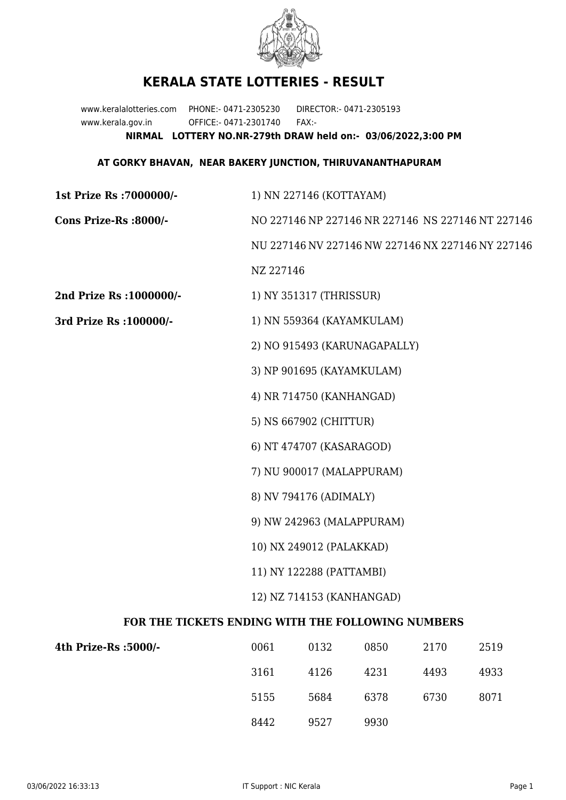

## **KERALA STATE LOTTERIES - RESULT**

www.keralalotteries.com PHONE:- 0471-2305230 DIRECTOR:- 0471-2305193 www.kerala.gov.in OFFICE:- 0471-2301740 FAX:- **NIRMAL LOTTERY NO.NR-279th DRAW held on:- 03/06/2022,3:00 PM**

## **AT GORKY BHAVAN, NEAR BAKERY JUNCTION, THIRUVANANTHAPURAM**

| 1st Prize Rs : 7000000/-                          | 1) NN 227146 (KOTTAYAM)                                                                                             |                           |      |      |      |  |
|---------------------------------------------------|---------------------------------------------------------------------------------------------------------------------|---------------------------|------|------|------|--|
| Cons Prize-Rs :8000/-                             | NO 227146 NP 227146 NR 227146 NS 227146 NT 227146<br>NU 227146 NV 227146 NW 227146 NX 227146 NY 227146<br>NZ 227146 |                           |      |      |      |  |
|                                                   |                                                                                                                     |                           |      |      |      |  |
|                                                   |                                                                                                                     |                           |      |      |      |  |
| 2nd Prize Rs : 1000000/-                          |                                                                                                                     | 1) NY 351317 (THRISSUR)   |      |      |      |  |
| 3rd Prize Rs : 100000/-                           | 1) NN 559364 (KAYAMKULAM)                                                                                           |                           |      |      |      |  |
|                                                   | 2) NO 915493 (KARUNAGAPALLY)<br>3) NP 901695 (KAYAMKULAM)<br>4) NR 714750 (KANHANGAD)<br>5) NS 667902 (CHITTUR)     |                           |      |      |      |  |
|                                                   |                                                                                                                     |                           |      |      |      |  |
|                                                   |                                                                                                                     |                           |      |      |      |  |
|                                                   |                                                                                                                     |                           |      |      |      |  |
|                                                   | 6) NT 474707 (KASARAGOD)                                                                                            |                           |      |      |      |  |
|                                                   |                                                                                                                     | 7) NU 900017 (MALAPPURAM) |      |      |      |  |
|                                                   | 8) NV 794176 (ADIMALY)                                                                                              |                           |      |      |      |  |
|                                                   | 9) NW 242963 (MALAPPURAM)                                                                                           |                           |      |      |      |  |
|                                                   | 10) NX 249012 (PALAKKAD)                                                                                            |                           |      |      |      |  |
|                                                   | 11) NY 122288 (PATTAMBI)                                                                                            |                           |      |      |      |  |
|                                                   | 12) NZ 714153 (KANHANGAD)                                                                                           |                           |      |      |      |  |
| FOR THE TICKETS ENDING WITH THE FOLLOWING NUMBERS |                                                                                                                     |                           |      |      |      |  |
| 4th Prize-Rs :5000/-                              | 0061                                                                                                                | 0132                      | 0850 | 2170 | 2519 |  |
|                                                   | 3161                                                                                                                | 4126                      | 4231 | 4493 | 4933 |  |

8442 9527 9930

5155 5684 6378 6730 8071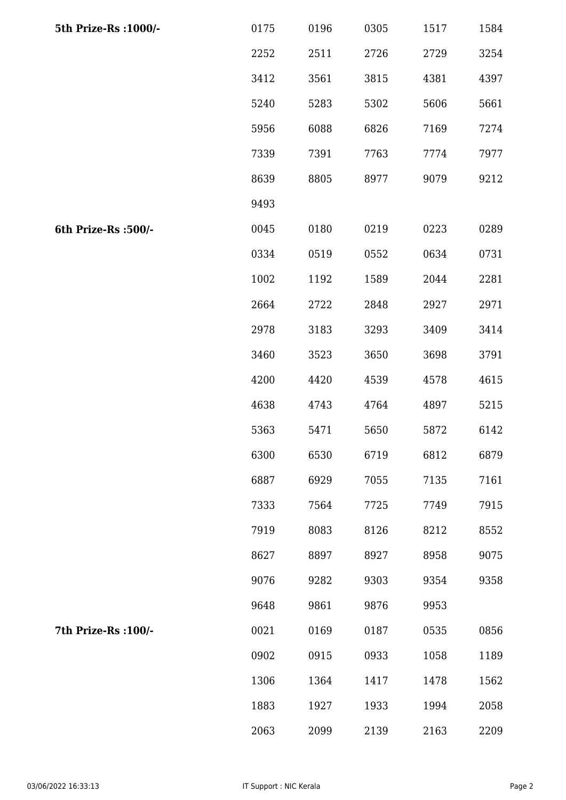| 5th Prize-Rs : 1000/- | 0175 | 0196 | 0305 | 1517 | 1584 |
|-----------------------|------|------|------|------|------|
|                       | 2252 | 2511 | 2726 | 2729 | 3254 |
|                       | 3412 | 3561 | 3815 | 4381 | 4397 |
|                       | 5240 | 5283 | 5302 | 5606 | 5661 |
|                       | 5956 | 6088 | 6826 | 7169 | 7274 |
|                       | 7339 | 7391 | 7763 | 7774 | 7977 |
|                       | 8639 | 8805 | 8977 | 9079 | 9212 |
|                       | 9493 |      |      |      |      |
| 6th Prize-Rs :500/-   | 0045 | 0180 | 0219 | 0223 | 0289 |
|                       | 0334 | 0519 | 0552 | 0634 | 0731 |
|                       | 1002 | 1192 | 1589 | 2044 | 2281 |
|                       | 2664 | 2722 | 2848 | 2927 | 2971 |
|                       | 2978 | 3183 | 3293 | 3409 | 3414 |
|                       | 3460 | 3523 | 3650 | 3698 | 3791 |
|                       | 4200 | 4420 | 4539 | 4578 | 4615 |
|                       | 4638 | 4743 | 4764 | 4897 | 5215 |
|                       | 5363 | 5471 | 5650 | 5872 | 6142 |
|                       | 6300 | 6530 | 6719 | 6812 | 6879 |
|                       | 6887 | 6929 | 7055 | 7135 | 7161 |
|                       | 7333 | 7564 | 7725 | 7749 | 7915 |
|                       | 7919 | 8083 | 8126 | 8212 | 8552 |
|                       | 8627 | 8897 | 8927 | 8958 | 9075 |
|                       | 9076 | 9282 | 9303 | 9354 | 9358 |
|                       | 9648 | 9861 | 9876 | 9953 |      |
| 7th Prize-Rs : 100/-  | 0021 | 0169 | 0187 | 0535 | 0856 |
|                       | 0902 | 0915 | 0933 | 1058 | 1189 |
|                       | 1306 | 1364 | 1417 | 1478 | 1562 |
|                       | 1883 | 1927 | 1933 | 1994 | 2058 |
|                       | 2063 | 2099 | 2139 | 2163 | 2209 |